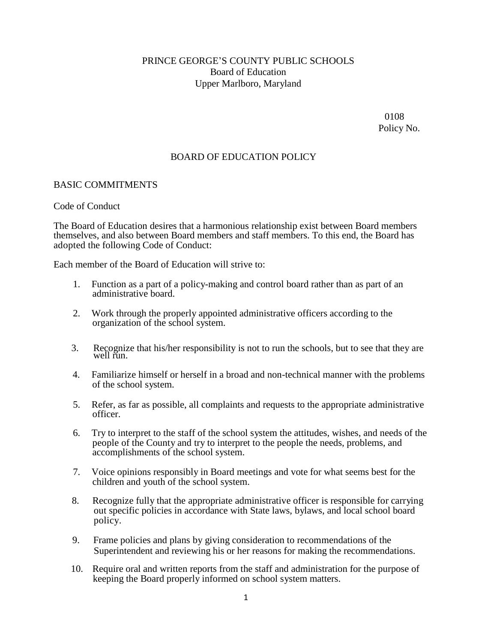# PRINCE GEORGE'S COUNTY PUBLIC SCHOOLS Board of Education Upper Marlboro, Maryland

0108 Policy No.

## BOARD OF EDUCATION POLICY

#### BASIC COMMITMENTS

#### Code of Conduct

The Board of Education desires that a harmonious relationship exist between Board members themselves, and also between Board members and staff members. To this end, the Board has adopted the following Code of Conduct:

Each member of the Board of Education will strive to:

- 1. Function as a part of a policy-making and control board rather than as part of an administrative board.
- 2. Work through the properly appointed administrative officers according to the organization of the school system.
- 3. Recognize that his/her responsibility is not to run the schools, but to see that they are well run.
- 4. Familiarize himself or herself in a broad and non-technical manner with the problems of the school system.
- 5. Refer, as far as possible, all complaints and requests to the appropriate administrative officer.
- 6. Try to interpret to the staff of the school system the attitudes, wishes, and needs of the people of the County and try to interpret to the people the needs, problems, and accomplishments of the school system.
- 7. Voice opinions responsibly in Board meetings and vote for what seems best for the children and youth of the school system.
- 8. Recognize fully that the appropriate administrative officer is responsible for carrying out specific policies in accordance with State laws, bylaws, and local school board policy.
- 9. Frame policies and plans by giving consideration to recommendations of the Superintendent and reviewing his or her reasons for making the recommendations.
- 10. Require oral and written reports from the staff and administration for the purpose of keeping the Board properly informed on school system matters.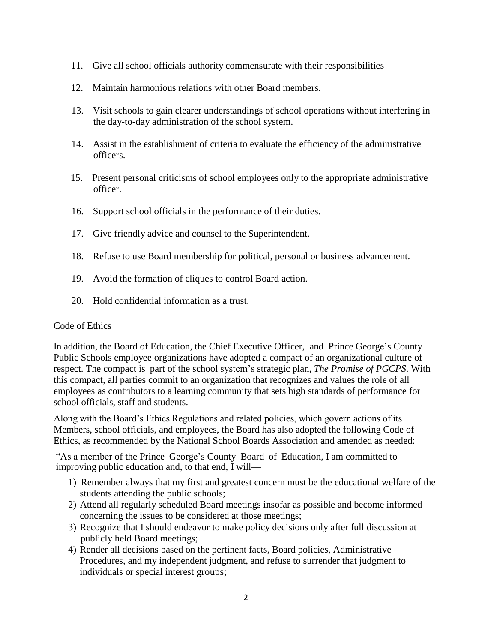- 11. Give all school officials authority commensurate with their responsibilities
- 12. Maintain harmonious relations with other Board members.
- 13. Visit schools to gain clearer understandings of school operations without interfering in the day-to-day administration of the school system.
- 14. Assist in the establishment of criteria to evaluate the efficiency of the administrative officers.
- 15. Present personal criticisms of school employees only to the appropriate administrative officer.
- 16. Support school officials in the performance of their duties.
- 17. Give friendly advice and counsel to the Superintendent.
- 18. Refuse to use Board membership for political, personal or business advancement.
- 19. Avoid the formation of cliques to control Board action.
- 20. Hold confidential information as a trust.

## Code of Ethics

In addition, the Board of Education, the Chief Executive Officer, and Prince George's County Public Schools employee organizations have adopted a compact of an organizational culture of respect. The compact is part of the school system's strategic plan, *The Promise of PGCPS*. With this compact, all parties commit to an organization that recognizes and values the role of all employees as contributors to a learning community that sets high standards of performance for school officials, staff and students.

Along with the Board's Ethics Regulations and related policies, which govern actions of its Members, school officials, and employees, the Board has also adopted the following Code of Ethics, as recommended by the National School Boards Association and amended as needed:

"As a member of the Prince George's County Board of Education, I am committed to improving public education and, to that end, I will—

- 1) Remember always that my first and greatest concern must be the educational welfare of the students attending the public schools;
- 2) Attend all regularly scheduled Board meetings insofar as possible and become informed concerning the issues to be considered at those meetings;
- 3) Recognize that I should endeavor to make policy decisions only after full discussion at publicly held Board meetings;
- 4) Render all decisions based on the pertinent facts, Board policies, Administrative Procedures, and my independent judgment, and refuse to surrender that judgment to individuals or special interest groups;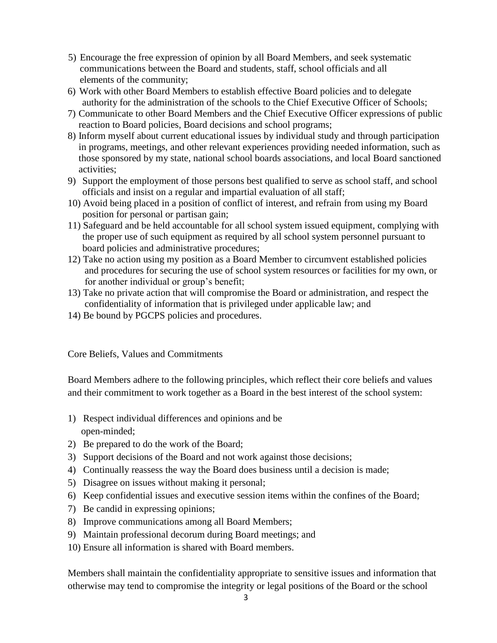- 5) Encourage the free expression of opinion by all Board Members, and seek systematic communications between the Board and students, staff, school officials and all elements of the community;
- 6) Work with other Board Members to establish effective Board policies and to delegate authority for the administration of the schools to the Chief Executive Officer of Schools;
- 7) Communicate to other Board Members and the Chief Executive Officer expressions of public reaction to Board policies, Board decisions and school programs;
- 8) Inform myself about current educational issues by individual study and through participation in programs, meetings, and other relevant experiences providing needed information, such as those sponsored by my state, national school boards associations, and local Board sanctioned activities;
- 9) Support the employment of those persons best qualified to serve as school staff, and school officials and insist on a regular and impartial evaluation of all staff;
- 10) Avoid being placed in a position of conflict of interest, and refrain from using my Board position for personal or partisan gain;
- 11) Safeguard and be held accountable for all school system issued equipment, complying with the proper use of such equipment as required by all school system personnel pursuant to board policies and administrative procedures;
- 12) Take no action using my position as a Board Member to circumvent established policies and procedures for securing the use of school system resources or facilities for my own, or for another individual or group's benefit;
- 13) Take no private action that will compromise the Board or administration, and respect the confidentiality of information that is privileged under applicable law; and
- 14) Be bound by PGCPS policies and procedures.

Core Beliefs, Values and Commitments

Board Members adhere to the following principles, which reflect their core beliefs and values and their commitment to work together as a Board in the best interest of the school system:

- 1) Respect individual differences and opinions and be open-minded;
- 2) Be prepared to do the work of the Board;
- 3) Support decisions of the Board and not work against those decisions;
- 4) Continually reassess the way the Board does business until a decision is made;
- 5) Disagree on issues without making it personal;
- 6) Keep confidential issues and executive session items within the confines of the Board;
- 7) Be candid in expressing opinions;
- 8) Improve communications among all Board Members;
- 9) Maintain professional decorum during Board meetings; and
- 10) Ensure all information is shared with Board members.

Members shall maintain the confidentiality appropriate to sensitive issues and information that otherwise may tend to compromise the integrity or legal positions of the Board or the school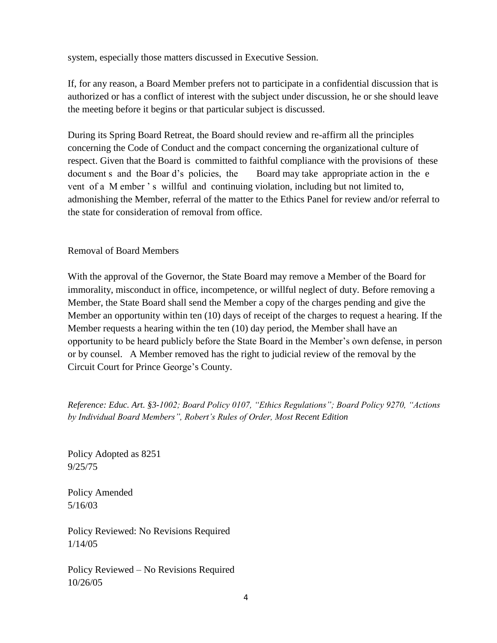system, especially those matters discussed in Executive Session.

If, for any reason, a Board Member prefers not to participate in a confidential discussion that is authorized or has a conflict of interest with the subject under discussion, he or she should leave the meeting before it begins or that particular subject is discussed.

During its Spring Board Retreat, the Board should review and re-affirm all the principles concerning the Code of Conduct and the compact concerning the organizational culture of respect. Given that the Board is committed to faithful compliance with the provisions of these document s and the Boar d's policies, the Board may take appropriate action in the e vent of a M ember's willful and continuing violation, including but not limited to, admonishing the Member, referral of the matter to the Ethics Panel for review and/or referral to the state for consideration of removal from office.

Removal of Board Members

With the approval of the Governor, the State Board may remove a Member of the Board for immorality, misconduct in office, incompetence, or willful neglect of duty. Before removing a Member, the State Board shall send the Member a copy of the charges pending and give the Member an opportunity within ten (10) days of receipt of the charges to request a hearing. If the Member requests a hearing within the ten (10) day period, the Member shall have an opportunity to be heard publicly before the State Board in the Member's own defense, in person or by counsel. A Member removed has the right to judicial review of the removal by the Circuit Court for Prince George's County.

*Reference: Educ. Art. §3-1002; Board Policy 0107, "Ethics Regulations"; Board Policy 9270, "Actions by Individual Board Members", Robert's Rules of Order, Most Recent Edition*

Policy Adopted as 8251 9/25/75

Policy Amended 5/16/03

Policy Reviewed: No Revisions Required 1/14/05

Policy Reviewed – No Revisions Required 10/26/05